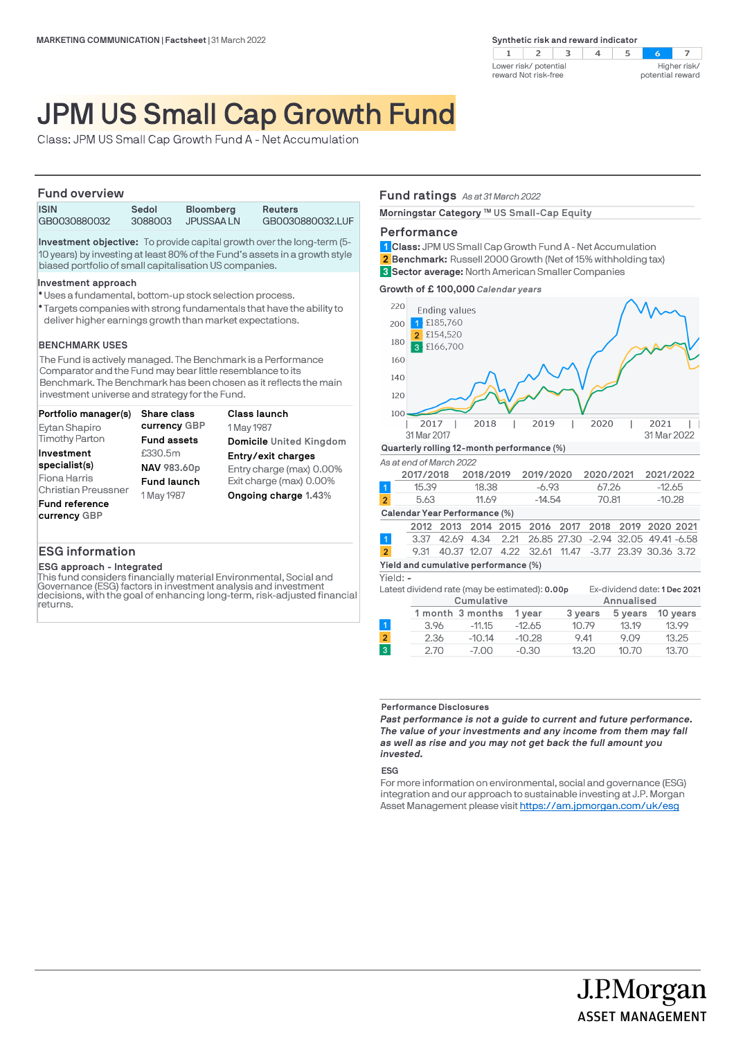

# JPM US Small Cap Growth Fund

Class: JPM US Small Cap Growth Fund A - Net Accumulation

## **Fund overview**

| <b>ISIN</b>  | Sedol   | <b>Bloomberg</b> | <b>Reuters</b>   |  |
|--------------|---------|------------------|------------------|--|
| GB0030880032 | 3088003 | JPUSSAA LN       | GB0030880032.LUF |  |
|              |         |                  |                  |  |

**Investment objective:** To provide capital growth over the long-term (5- 10 years) by investing at least 80% of the Fund's assets in a growth style biased portfolio of small capitalisation US companies.

### **Investment approach**

- Uses a fundamental, bottom-up stock selection process. l
- Targets companies with strong fundamentals that have the ability to l deliver higher earnings growth than market expectations.

### **BENCHMARK USES**

The Fund is actively managed. The Benchmark is a Performance Comparator and the Fund may bear little resemblance to its Benchmark. The Benchmark has been chosen as it reflects the main investment universe and strategy for the Fund.

| Portfolio manager(s)       | <b>Share class</b> | <b>Class launch</b>            |
|----------------------------|--------------------|--------------------------------|
| Eytan Shapiro              | currency GBP       | 1 May 1987                     |
| <b>Timothy Parton</b>      | <b>Fund assets</b> | <b>Domicile United Kingdom</b> |
| Investment                 | £330.5m            | Entry/exit charges             |
| specialist(s)              | NAV 983.60p        | Entry charge (max) 0.00%       |
| Fiona Harris               | <b>Fund launch</b> | Exit charge (max) 0.00%        |
| <b>Christian Preussner</b> | 1 May 1987         | Ongoing charge 1.43%           |
| <b>Fund reference</b>      |                    |                                |
| currency GBP               |                    |                                |

# **ESG information**

### **ESG approach - Integrated**

This fund considers financially material Environmental, Social and Governance (ESG) factors in investment analysis and investment decisions, with the goal of enhancing long-term, risk-adjusted financial returns.

# **Fund ratings** *As at 31 March 2022*

**Morningstar Category ™ US Small-Cap Equity** 

# **Performance**

**Class:** JPM US Small Cap Growth Fund A - Net Accumulation **1 Benchmark:** Russell 2000 Growth (Net of 15% withholding tax) **Sector average:** North American Smaller Companies **3 2**

**Growth of £ 100,000** *Calendar years*



|      | 1 month 3 months | 1 vear   | 3 years |       | 5 years 10 years |
|------|------------------|----------|---------|-------|------------------|
| 3.96 | $-11.15$         | $-12.65$ | 10.79   | 13.19 | 13.99            |
| 2.36 | $-10.14$         | $-10.28$ | 9.41    | 9.09  | 13.25            |
| 2.70 | $-7.00$          | $-0.30$  | 13.20   | 10.70 | 13.70            |
|      |                  |          |         |       |                  |

#### **Performance Disclosures**

*Past performance is not a guide to current and future performance. The value of your investments and any income from them may fall as well as rise and you may not get back the full amount you invested.* 

### **ESG**

 $\overline{3}$ 

For more information on environmental, social and governance (ESG) integration and our approach to sustainable investing at J.P. Morgan Asset Management please visit https://am.jpmorgan.com/uk/esg

J.P.Morgan

**ASSET MANAGEMENT**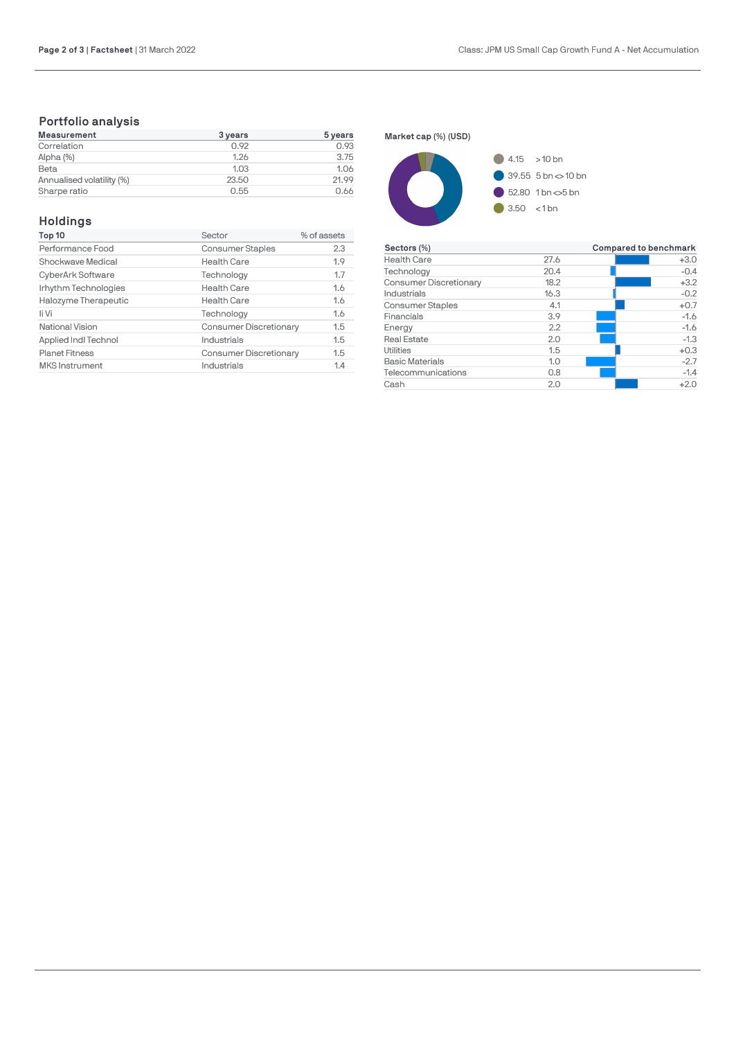# **Portfolio analysis**

| Measurement               | 3 years | 5 years |
|---------------------------|---------|---------|
| Correlation               | 0.92    | 0.93    |
| Alpha (%)                 | 1.26    | 3.75    |
| Beta                      | 1.03    | 1.06    |
| Annualised volatility (%) | 23.50   | 21.99   |
| Sharpe ratio              | 0.55    | 0.66    |

# **Holdings**

| % of assets<br>Sector                |
|--------------------------------------|
| <b>Consumer Staples</b><br>2.3       |
| 1.9<br><b>Health Care</b>            |
| 1.7<br>Technology                    |
| <b>Health Care</b><br>1.6            |
| 1.6<br><b>Health Care</b>            |
| 1.6<br>Technology                    |
| <b>Consumer Discretionary</b><br>1.5 |
| 1.5<br>Industrials                   |
| <b>Consumer Discretionary</b><br>1.5 |
| Industrials<br>1.4                   |
|                                      |

**Market cap (%) (USD)**



| Sectors (%)                   |      | Compared to benchmark |  |  |
|-------------------------------|------|-----------------------|--|--|
| <b>Health Care</b>            | 27.6 | $+3.0$                |  |  |
| Technology                    | 20.4 | $-0.4$                |  |  |
| <b>Consumer Discretionary</b> | 18.2 | $+3.2$                |  |  |
| Industrials                   | 16.3 | $-0.2$                |  |  |
| <b>Consumer Staples</b>       | 4.1  | $+0.7$                |  |  |
| Financials                    | 3.9  | $-1.6$                |  |  |
| Energy                        | 2.2  | $-1.6$                |  |  |
| <b>Real Estate</b>            | 2.0  | $-1.3$                |  |  |
| Utilities                     | 1.5  | $+0.3$                |  |  |
| <b>Basic Materials</b>        | 1.0  | $-2.7$                |  |  |
| Telecommunications            | 0.8  | $-1.4$                |  |  |
| Cash                          | 2.0  | $+2.0$                |  |  |